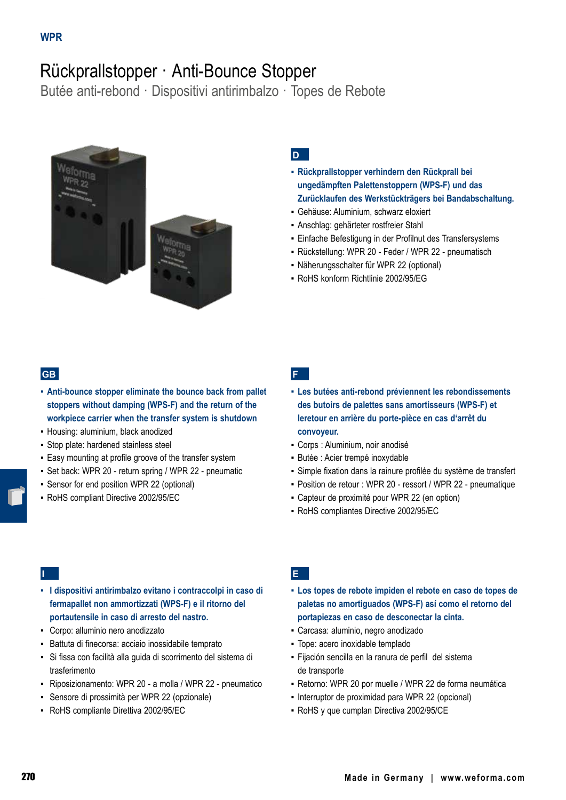# Rückprallstopper · Anti-Bounce Stopper

Butée anti-rebond · Dispositivi antirimbalzo · Topes de Rebote



## **D**

- **▪ Rückprallstopper verhindern den Rückprall bei ungedämpften Palettenstoppern (WPS-F) und das Zurücklaufen des Werkstückträgers bei Bandabschaltung.**
- Gehäuse: Aluminium, schwarz eloxiert
- Anschlag: gehärteter rostfreier Stahl
- Einfache Befestigung in der Profilnut des Transfersystems
- Rückstellung: WPR 20 Feder / WPR 22 pneumatisch
- Näherungsschalter für WPR 22 (optional)
- RoHS konform Richtlinie 2002/95/EG

### **GB**

- **▪ Anti-bounce stopper eliminate the bounce back from pallet stoppers without damping (WPS-F) and the return of the workpiece carrier when the transfer system is shutdown**
- Housing: aluminium, black anodized
- Stop plate: hardened stainless steel
- Easy mounting at profile groove of the transfer system
- Set back: WPR 20 return spring / WPR 22 pneumatic
- Sensor for end position WPR 22 (optional)
- RoHS compliant Directive 2002/95/EC

**F**

- **▪ Les butées anti-rebond préviennent les rebondissements des butoirs de palettes sans amortisseurs (WPS-F) et leretour en arrière du porte-pièce en cas d'arrêt du convoyeur.**
- Corps : Aluminium, noir anodisé
- Butée : Acier trempé inoxydable
- Simple fixation dans la rainure profilée du système de transfert
- Position de retour : WPR 20 ressort / WPR 22 pneumatique
- Capteur de proximité pour WPR 22 (en option)
- RoHS compliantes Directive 2002/95/EC

### **I**

- **▪ I dispositivi antirimbalzo evitano i contraccolpi in caso di fermapallet non ammortizzati (WPS-F) e il ritorno del portautensile in caso di arresto del nastro.**
- Corpo: alluminio nero anodizzato
- Battuta di finecorsa: acciaio inossidabile temprato
- Si fissa con facilità alla guida di scorrimento del sistema di trasferimento
- Riposizionamento: WPR 20 a molla / WPR 22 pneumatico
- Sensore di prossimità per WPR 22 (opzionale)
- RoHS compliante Direttiva 2002/95/EC

## **E**

- **▪ Los topes de rebote impiden el rebote en caso de topes de paletas no amortiguados (WPS-F) así como el retorno del portapiezas en caso de desconectar la cinta.**
- Carcasa: aluminio, negro anodizado
- Tope: acero inoxidable templado
- Fijación sencilla en la ranura de perfil del sistema de transporte
- Retorno: WPR 20 por muelle / WPR 22 de forma neumática
- Interruptor de proximidad para WPR 22 (opcional)
- RoHS y que cumplan Directiva 2002/95/CE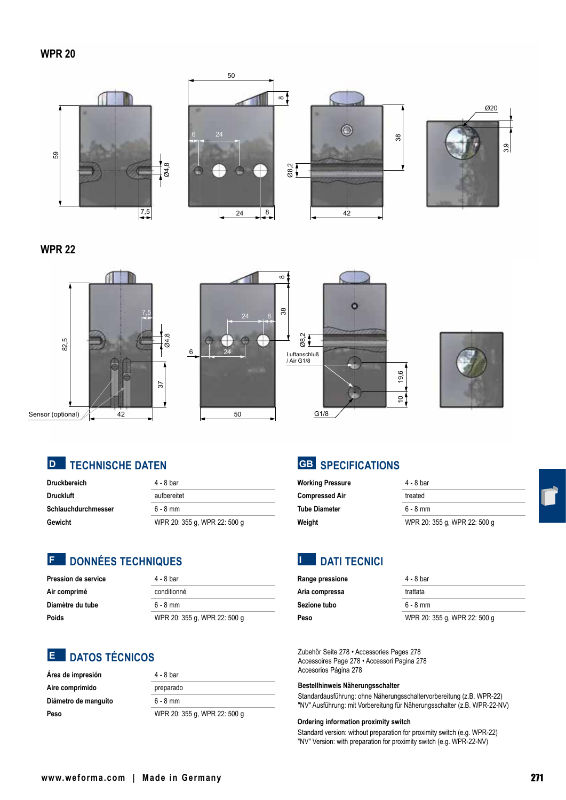#### **WPR 20**



### **WPR 22**





| Druckbereich        | 4 - 8 bar                    |
|---------------------|------------------------------|
| Druckluft           | aufbereitet                  |
| Schlauchdurchmesser | $6 - 8$ mm                   |
| Gewicht             | WPR 20: 355 g, WPR 22: 500 g |

## **DONNÉES TECHNIQUES F**

| Pression de service | 4 - 8 bar                    |
|---------------------|------------------------------|
| Air comprimé        | conditionné                  |
| Diamètre du tube    | $6 - 8$ mm                   |
| Poids               | WPR 20: 355 g, WPR 22: 500 g |

## **DATOS TÉCNICOS E**

| Área de impresión    | 4 - 8 bar                    |
|----------------------|------------------------------|
| Aire comprimido      | preparado                    |
| Diámetro de manguito | $6 - 8$ mm                   |
| Peso                 | WPR 20: 355 g, WPR 22: 500 g |

## **SPECIFICATIONS GB**

| <b>Working Pressure</b> | 4 - 8 bar                    |
|-------------------------|------------------------------|
| <b>Compressed Air</b>   | treated                      |
| <b>Tube Diameter</b>    | $6 - 8$ mm                   |
| Weight                  | WPR 20: 355 g, WPR 22: 500 g |

#### **DATI TECNICI I**

| <b>Range pressione</b> | 4 - 8 bar                    |
|------------------------|------------------------------|
| Aria compressa         | trattata                     |
| Sezione tubo           | $6 - 8$ mm                   |
| Peso                   | WPR 20: 355 g, WPR 22: 500 g |

Zubehör Seite 278 • Accessories Pages 278 Accessoires Page 278 • Accessori Pagina 278 Accesorios Página 278

#### **Bestellhinweis Näherungsschalter**

Standardausführung: ohne Näherungsschaltervorbereitung (z.B. WPR-22) "NV" Ausführung: mit Vorbereitung für Näherungsschalter (z.B. WPR-22-NV)

#### **Ordering information proximity switch**

Standard version: without preparation for proximity switch (e.g. WPR-22) "NV" Version: with preparation for proximity switch (e.g. WPR-22-NV)